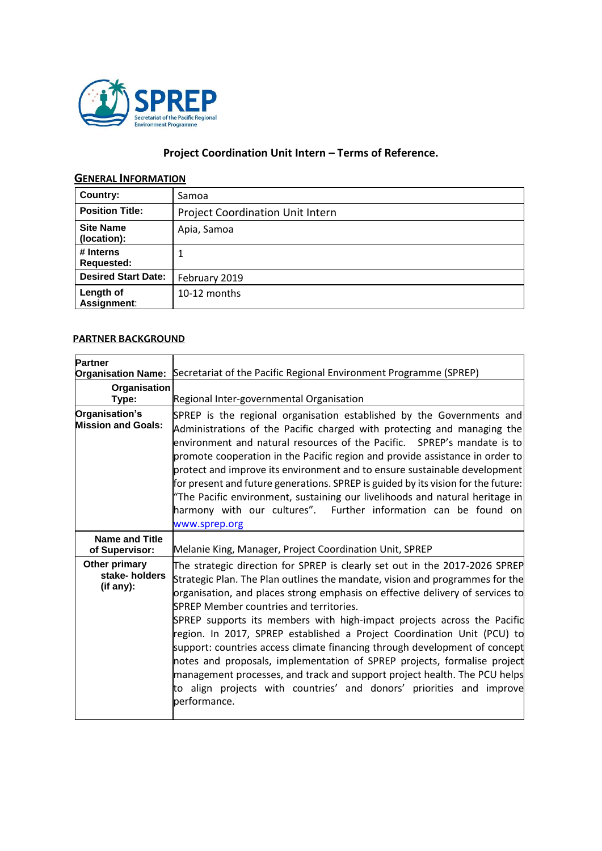

# **Project Coordination Unit Intern – Terms of Reference.**

# **GENERAL INFORMATION**

| Country:                        | Samoa                                   |
|---------------------------------|-----------------------------------------|
| <b>Position Title:</b>          | <b>Project Coordination Unit Intern</b> |
| <b>Site Name</b><br>(location): | Apia, Samoa                             |
| # Interns<br><b>Requested:</b>  |                                         |
| <b>Desired Start Date:</b>      | February 2019                           |
| Length of<br>Assignment:        | 10-12 months                            |

## **PARTNER BACKGROUND**

| <b>Partner</b>                              | Organisation Name: Secretariat of the Pacific Regional Environment Programme (SPREP)                                                                                                                                                                                                                                                                                                                                                                                                                                                                                                                                                                                                                                                                                         |  |  |
|---------------------------------------------|------------------------------------------------------------------------------------------------------------------------------------------------------------------------------------------------------------------------------------------------------------------------------------------------------------------------------------------------------------------------------------------------------------------------------------------------------------------------------------------------------------------------------------------------------------------------------------------------------------------------------------------------------------------------------------------------------------------------------------------------------------------------------|--|--|
| Organisation<br>Type:                       | Regional Inter-governmental Organisation                                                                                                                                                                                                                                                                                                                                                                                                                                                                                                                                                                                                                                                                                                                                     |  |  |
| Organisation's<br><b>Mission and Goals:</b> | SPREP is the regional organisation established by the Governments and<br>Administrations of the Pacific charged with protecting and managing the<br>environment and natural resources of the Pacific. SPREP's mandate is to<br>promote cooperation in the Pacific region and provide assistance in order to<br>protect and improve its environment and to ensure sustainable development<br>for present and future generations. SPREP is guided by its vision for the future:<br>"The Pacific environment, sustaining our livelihoods and natural heritage in<br>harmony with our cultures". Further information can be found on<br>www.sprep.org                                                                                                                            |  |  |
| <b>Name and Title</b><br>of Supervisor:     | Melanie King, Manager, Project Coordination Unit, SPREP                                                                                                                                                                                                                                                                                                                                                                                                                                                                                                                                                                                                                                                                                                                      |  |  |
| Other primary<br>stake-holders<br>(if any): | The strategic direction for SPREP is clearly set out in the 2017-2026 SPREP<br>Strategic Plan. The Plan outlines the mandate, vision and programmes for the<br>organisation, and places strong emphasis on effective delivery of services to<br>SPREP Member countries and territories.<br>SPREP supports its members with high-impact projects across the Pacific<br>region. In 2017, SPREP established a Project Coordination Unit (PCU) to<br>support: countries access climate financing through development of concept<br>notes and proposals, implementation of SPREP projects, formalise project<br>management processes, and track and support project health. The PCU helps<br>to align projects with countries' and donors' priorities and improve<br>performance. |  |  |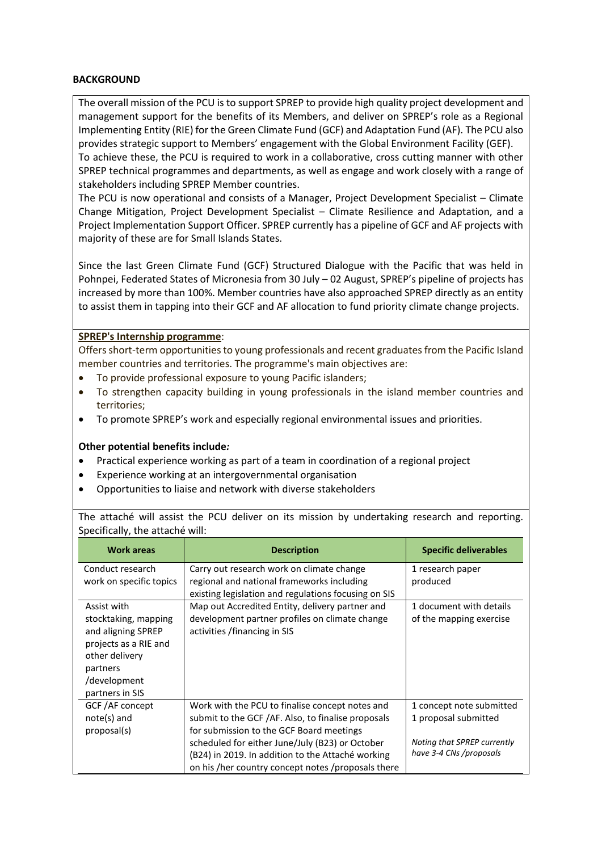#### **BACKGROUND**

The overall mission of the PCU is to support SPREP to provide high quality project development and management support for the benefits of its Members, and deliver on SPREP's role as a Regional Implementing Entity (RIE) for the Green Climate Fund (GCF) and Adaptation Fund (AF). The PCU also provides strategic support to Members' engagement with the Global Environment Facility (GEF). To achieve these, the PCU is required to work in a collaborative, cross cutting manner with other SPREP technical programmes and departments, as well as engage and work closely with a range of stakeholders including SPREP Member countries.

The PCU is now operational and consists of a Manager, Project Development Specialist – Climate Change Mitigation, Project Development Specialist – Climate Resilience and Adaptation, and a Project Implementation Support Officer. SPREP currently has a pipeline of GCF and AF projects with majority of these are for Small Islands States.

Since the last Green Climate Fund (GCF) Structured Dialogue with the Pacific that was held in Pohnpei, Federated States of Micronesia from 30 July – 02 August, SPREP's pipeline of projects has increased by more than 100%. Member countries have also approached SPREP directly as an entity to assist them in tapping into their GCF and AF allocation to fund priority climate change projects.

#### **SPREP's Internship programme**:

Offers short-term opportunities to young professionals and recent graduates from the Pacific Island member countries and territories. The programme's main objectives are:

- To provide professional exposure to young Pacific islanders;
- To strengthen capacity building in young professionals in the island member countries and territories;
- To promote SPREP's work and especially regional environmental issues and priorities.

### **Other potential benefits include***:*

- Practical experience working as part of a team in coordination of a regional project
- Experience working at an intergovernmental organisation
- Opportunities to liaise and network with diverse stakeholders

The attaché will assist the PCU deliver on its mission by undertaking research and reporting. Specifically, the attaché will:

| <b>Work areas</b>       | <b>Description</b>                                   | <b>Specific deliverables</b> |
|-------------------------|------------------------------------------------------|------------------------------|
| Conduct research        | Carry out research work on climate change            | 1 research paper             |
| work on specific topics | regional and national frameworks including           | produced                     |
|                         | existing legislation and regulations focusing on SIS |                              |
| Assist with             | Map out Accredited Entity, delivery partner and      | 1 document with details      |
| stocktaking, mapping    | development partner profiles on climate change       | of the mapping exercise      |
| and aligning SPREP      | activities / financing in SIS                        |                              |
| projects as a RIE and   |                                                      |                              |
| other delivery          |                                                      |                              |
| partners                |                                                      |                              |
| /development            |                                                      |                              |
| partners in SIS         |                                                      |                              |
| GCF/AF concept          | Work with the PCU to finalise concept notes and      | 1 concept note submitted     |
| note(s) and             | submit to the GCF /AF. Also, to finalise proposals   | 1 proposal submitted         |
| proposal(s)             | for submission to the GCF Board meetings             |                              |
|                         | scheduled for either June/July (B23) or October      | Noting that SPREP currently  |
|                         | (B24) in 2019. In addition to the Attaché working    | have 3-4 CNs /proposals      |
|                         | on his /her country concept notes /proposals there   |                              |